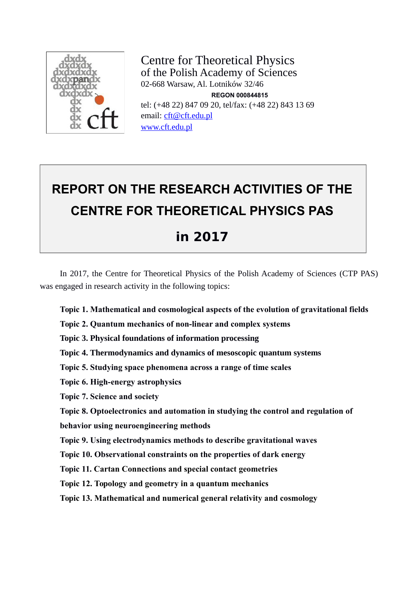

Centre for Theoretical Physics of the Polish Academy of Sciences 02-668 Warsaw, Al. Lotników 32/46 **REGON 000844815** tel: (+48 22) 847 09 20, tel/fax: (+48 22) 843 13 69 email: [cft@cft.edu.pl](mailto:cft@cft.edu.pl) [www.cft.edu.pl](http://www.cft.edu.pl/)

# **REPORT ON THE RESEARCH ACTIVITIES OF THE CENTRE FOR THEORETICAL PHYSICS PAS**

## **in 2017**

In 2017, the Centre for Theoretical Physics of the Polish Academy of Sciences (CTP PAS) was engaged in research activity in the following topics:

**Topic 1. Mathematical and cosmological aspects of the evolution of gravitational fields**

**Topic 2. Quantum mechanics of non-linear and complex systems**

**Topic 3. Physical foundations of information processing**

**Topic 4. Thermodynamics and dynamics of mesoscopic quantum systems**

**Topic 5. Studying space phenomena across a range of time scales**

**Topic 6. High-energy astrophysics**

**Topic 7. Science and society**

**Topic 8. Optoelectronics and automation in studying the control and regulation of** 

**behavior using neuroengineering methods**

**Topic 9. Using electrodynamics methods to describe gravitational waves**

**Topic 10. Observational constraints on the properties of dark energy**

**Topic 11. Cartan Connections and special contact geometries**

**Topic 12. Topology and geometry in a quantum mechanics**

**Topic 13. Mathematical and numerical general relativity and cosmology**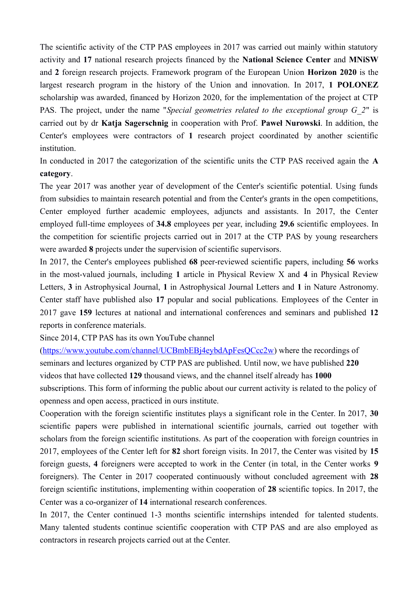The scientific activity of the CTP PAS employees in 2017 was carried out mainly within statutory activity and **17** national research projects financed by the **National Science Center** and **MNiSW** and **2** foreign research projects. Framework program of the European Union **Horizon 2020** is the largest research program in the history of the Union and innovation. In 2017, **1 POLONEZ** scholarship was awarded, financed by Horizon 2020, for the implementation of the project at CTP PAS. The project, under the name "*Special geometries related to the exceptional group G\_2*" is carried out by dr **Katja Sagerschnig** in cooperation with Prof. **Paweł Nurowski**. In addition, the Center's employees were contractors of **1** research project coordinated by another scientific institution.

In conducted in 2017 the categorization of the scientific units the CTP PAS received again the **A category**.

The year 2017 was another year of development of the Center's scientific potential. Using funds from subsidies to maintain research potential and from the Center's grants in the open competitions, Center employed further academic employees, adjuncts and assistants. In 2017, the Center employed full-time employees of **34.8** employees per year, including **29.6** scientific employees. In the competition for scientific projects carried out in 2017 at the CTP PAS by young researchers were awarded **8** projects under the supervision of scientific supervisors.

In 2017, the Center's employees published **68** peer-reviewed scientific papers, including **56** works in the most-valued journals, including **1** article in Physical Review X and **4** in Physical Review Letters, **3** in Astrophysical Journal, **1** in Astrophysical Journal Letters and **1** in Nature Astronomy. Center staff have published also **17** popular and social publications. Employees of the Center in 2017 gave **159** lectures at national and international conferences and seminars and published **12** reports in conference materials.

Since 2014, CTP PAS has its own YouTube channel

[\(https://www.youtube.com/channel/UCBmbEBj4eybdApFesQCcc2w\)](https://www.youtube.com/channel/UCBmbEBj4eybdApFesQCcc2w) where the recordings of seminars and lectures organized by CTP PAS are published. Until now, we have published **220** videos that have collected **129** thousand views, and the channel itself already has **1000**  subscriptions. This form of informing the public about our current activity is related to the policy of openness and open access, practiced in ours institute.

Cooperation with the foreign scientific institutes plays a significant role in the Center. In 2017, **30** scientific papers were published in international scientific journals, carried out together with scholars from the foreign scientific institutions. As part of the cooperation with foreign countries in 2017, employees of the Center left for **82** short foreign visits. In 2017, the Center was visited by **15** foreign guests, **4** foreigners were accepted to work in the Center (in total, in the Center works **9** foreigners). The Center in 2017 cooperated continuously without concluded agreement with **28** foreign scientific institutions, implementing within cooperation of **28** scientific topics. In 2017, the Center was a co-organizer of **14** international research conferences.

In 2017, the Center continued 1-3 months scientific internships intended for talented students. Many talented students continue scientific cooperation with CTP PAS and are also employed as contractors in research projects carried out at the Center.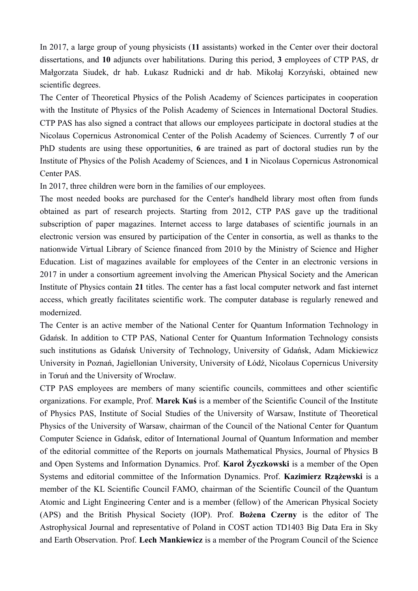In 2017, a large group of young physicists (**11** assistants) worked in the Center over their doctoral dissertations, and **10** adjuncts over habilitations. During this period, **3** employees of CTP PAS, dr Małgorzata Siudek, dr hab. Łukasz Rudnicki and dr hab. Mikołaj Korzyński, obtained new scientific degrees.

The Center of Theoretical Physics of the Polish Academy of Sciences participates in cooperation with the Institute of Physics of the Polish Academy of Sciences in International Doctoral Studies. CTP PAS has also signed a contract that allows our employees participate in doctoral studies at the Nicolaus Copernicus Astronomical Center of the Polish Academy of Sciences. Currently **7** of our PhD students are using these opportunities, **6** are trained as part of doctoral studies run by the Institute of Physics of the Polish Academy of Sciences, and **1** in Nicolaus Copernicus Astronomical Center PAS.

In 2017, three children were born in the families of our employees.

The most needed books are purchased for the Center's handheld library most often from funds obtained as part of research projects. Starting from 2012, CTP PAS gave up the traditional subscription of paper magazines. Internet access to large databases of scientific journals in an electronic version was ensured by participation of the Center in consortia, as well as thanks to the nationwide Virtual Library of Science financed from 2010 by the Ministry of Science and Higher Education. List of magazines available for employees of the Center in an electronic versions in 2017 in under a consortium agreement involving the American Physical Society and the American Institute of Physics contain **21** titles. The center has a fast local computer network and fast internet access, which greatly facilitates scientific work. The computer database is regularly renewed and modernized.

The Center is an active member of the National Center for Quantum Information Technology in Gdańsk. In addition to CTP PAS, National Center for Quantum Information Technology consists such institutions as Gdańsk University of Technology, University of Gdańsk, Adam Mickiewicz University in Poznań, Jagiellonian University, University of Łódź, Nicolaus Copernicus University in Toruń and the University of Wrocław.

CTP PAS employees are members of many scientific councils, committees and other scientific organizations. For example, Prof. **Marek Kuś** is a member of the Scientific Council of the Institute of Physics PAS, Institute of Social Studies of the University of Warsaw, Institute of Theoretical Physics of the University of Warsaw, chairman of the Council of the National Center for Quantum Computer Science in Gdańsk, editor of International Journal of Quantum Information and member of the editorial committee of the Reports on journals Mathematical Physics, Journal of Physics B and Open Systems and Information Dynamics. Prof. **Karol Życzkowski** is a member of the Open Systems and editorial committee of the Information Dynamics. Prof. **Kazimierz Rzążewski** is a member of the KL Scientific Council FAMO, chairman of the Scientific Council of the Quantum Atomic and Light Engineering Center and is a member (fellow) of the American Physical Society (APS) and the British Physical Society (IOP). Prof. **Bożena Czerny** is the editor of The Astrophysical Journal and representative of Poland in COST action TD1403 Big Data Era in Sky and Earth Observation. Prof. **Lech Mankiewicz** is a member of the Program Council of the Science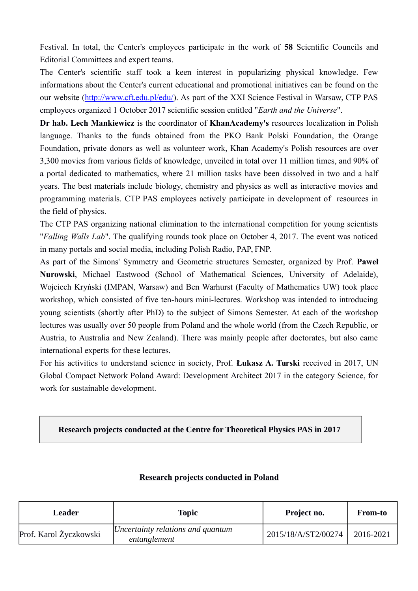Festival. In total, the Center's employees participate in the work of **58** Scientific Councils and Editorial Committees and expert teams.

The Center's scientific staff took a keen interest in popularizing physical knowledge. Few informations about the Center's current educational and promotional initiatives can be found on the our website [\(http://www.cft.edu.pl/edu/\)](http://www.cft.edu.pl/edu/). As part of the XXI Science Festival in Warsaw, CTP PAS employees organized 1 October 2017 scientific session entitled "*Earth and the Universe*".

**Dr hab. Lech Mankiewicz** is the coordinator of **KhanAcademy's** resources localization in Polish language. Thanks to the funds obtained from the PKO Bank Polski Foundation, the Orange Foundation, private donors as well as volunteer work, Khan Academy's Polish resources are over 3,300 movies from various fields of knowledge, unveiled in total over 11 million times, and 90% of a portal dedicated to mathematics, where 21 million tasks have been dissolved in two and a half years. The best materials include biology, chemistry and physics as well as interactive movies and programming materials. CTP PAS employees actively participate in development of resources in the field of physics.

The CTP PAS organizing national elimination to the international competition for young scientists "*Falling Walls Lab*". The qualifying rounds took place on October 4, 2017. The event was noticed in many portals and social media, including Polish Radio, PAP, FNP.

As part of the Simons' Symmetry and Geometric structures Semester, organized by Prof. **Paweł Nurowski**, Michael Eastwood (School of Mathematical Sciences, University of Adelaide), Wojciech Kryński (IMPAN, Warsaw) and Ben Warhurst (Faculty of Mathematics UW) took place workshop, which consisted of five ten-hours mini-lectures. Workshop was intended to introducing young scientists (shortly after PhD) to the subject of Simons Semester. At each of the workshop lectures was usually over 50 people from Poland and the whole world (from the Czech Republic, or Austria, to Australia and New Zealand). There was mainly people after doctorates, but also came international experts for these lectures.

For his activities to understand science in society, Prof. **Łukasz A. Turski** received in 2017, UN Global Compact Network Poland Award: Development Architect 2017 in the category Science, for work for sustainable development.

#### **Research projects conducted at the Centre for Theoretical Physics PAS in 2017**

| Leader                 | Topic                                             | Project no.         | From-to   |
|------------------------|---------------------------------------------------|---------------------|-----------|
| Prof. Karol Życzkowski | Uncertainty relations and quantum<br>entanglement | 2015/18/A/ST2/00274 | 2016-2021 |

#### **Research projects conducted in Poland**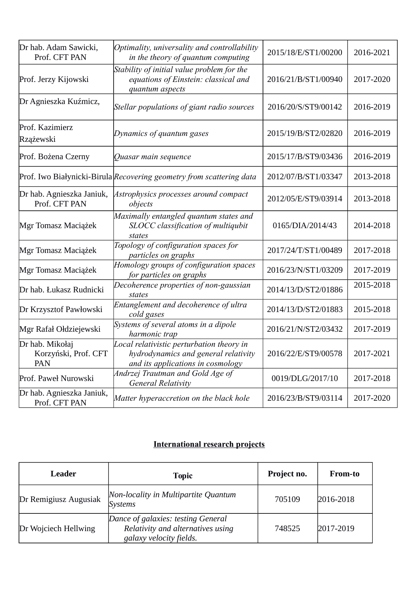| Dr hab. Adam Sawicki,<br>Prof. CFT PAN         | Optimality, universality and controllability<br>in the theory of quantum computing                                     | 2015/18/E/ST1/00200 | 2016-2021 |
|------------------------------------------------|------------------------------------------------------------------------------------------------------------------------|---------------------|-----------|
| Prof. Jerzy Kijowski                           | Stability of initial value problem for the<br>equations of Einstein: classical and<br>quantum aspects                  |                     | 2017-2020 |
| Dr Agnieszka Kuźmicz,                          | Stellar populations of giant radio sources                                                                             | 2016/20/S/ST9/00142 | 2016-2019 |
| Prof. Kazimierz<br>Rzążewski                   | Dynamics of quantum gases                                                                                              | 2015/19/B/ST2/02820 | 2016-2019 |
| Prof. Bożena Czerny                            | Quasar main sequence                                                                                                   | 2015/17/B/ST9/03436 | 2016-2019 |
|                                                | Prof. Iwo Białynicki-Birula Recovering geometry from scattering data                                                   | 2012/07/B/ST1/03347 | 2013-2018 |
| Dr hab. Agnieszka Janiuk,<br>Prof. CFT PAN     | Astrophysics processes around compact<br>objects                                                                       | 2012/05/E/ST9/03914 | 2013-2018 |
| Mgr Tomasz Maciążek                            | Maximally entangled quantum states and<br>SLOCC classification of multiqubit<br>states                                 | 0165/DIA/2014/43    | 2014-2018 |
| Mgr Tomasz Maciążek                            | Topology of configuration spaces for<br>particles on graphs                                                            | 2017/24/T/ST1/00489 | 2017-2018 |
| Mgr Tomasz Maciążek                            | Homology groups of configuration spaces<br>for particles on graphs                                                     | 2016/23/N/ST1/03209 | 2017-2019 |
| Dr hab. Łukasz Rudnicki                        | Decoherence properties of non-gaussian<br>states                                                                       | 2014/13/D/ST2/01886 | 2015-2018 |
| Dr Krzysztof Pawłowski                         | Entanglement and decoherence of ultra<br>cold gases                                                                    | 2014/13/D/ST2/01883 | 2015-2018 |
| Mgr Rafał Ołdziejewski                         | Systems of several atoms in a dipole<br>harmonic trap                                                                  | 2016/21/N/ST2/03432 | 2017-2019 |
| Dr hab. Mikołaj<br>Korzyński, Prof. CFT<br>PAN | Local relativistic perturbation theory in<br>hydrodynamics and general relativity<br>and its applications in cosmology | 2016/22/E/ST9/00578 | 2017-2021 |
| Prof. Paweł Nurowski                           | Andrzej Trautman and Gold Age of<br>General Relativity                                                                 | 0019/DLG/2017/10    | 2017-2018 |
| Dr hab. Agnieszka Janiuk,<br>Prof. CFT PAN     | Matter hyperaccretion on the black hole                                                                                | 2016/23/B/ST9/03114 | 2017-2020 |

## **International research projects**

| Leader                | <b>Topic</b>                                                                                              | Project no. | <b>From-to</b> |
|-----------------------|-----------------------------------------------------------------------------------------------------------|-------------|----------------|
| Dr Remigiusz Augusiak | Non-locality in Multipartite Quantum<br><b>Systems</b>                                                    | 705109      | 2016-2018      |
| Dr Wojciech Hellwing  | Dance of galaxies: testing General<br>Relativity and alternatives using<br><i>galaxy velocity fields.</i> | 748525      | 2017-2019      |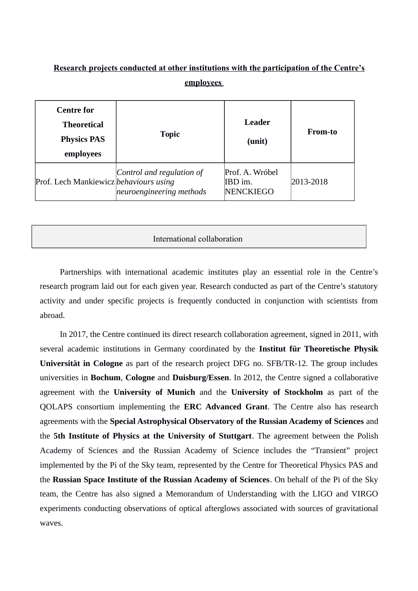#### **Research projects conducted at other institutions with the participation of the Centre's employees**

| <b>Centre for</b><br><b>Theoretical</b><br><b>Physics PAS</b><br>employees | <b>Topic</b>                                          | Leader<br>(unit)                               | <b>From-to</b> |
|----------------------------------------------------------------------------|-------------------------------------------------------|------------------------------------------------|----------------|
| Prof. Lech Mankiewicz behaviours using                                     | Control and regulation of<br>neuroengineering methods | Prof. A. Wróbel<br>IBD im.<br><b>NENCKIEGO</b> | 2013-2018      |

#### International collaboration

Partnerships with international academic institutes play an essential role in the Centre's research program laid out for each given year. Research conducted as part of the Centre's statutory activity and under specific projects is frequently conducted in conjunction with scientists from abroad.

In 2017, the Centre continued its direct research collaboration agreement, signed in 2011, with several academic institutions in Germany coordinated by the **Institut für Theoretische Physik Universität in Cologne** as part of the research project DFG no. SFB/TR-12. The group includes universities in **Bochum**, **Cologne** and **Duisburg/Essen**. In 2012, the Centre signed a collaborative agreement with the **University of Munich** and the **University of Stockholm** as part of the QOLAPS consortium implementing the **ERC Advanced Grant**. The Centre also has research agreements with the **Special Astrophysical Observatory of the Russian Academy of Sciences** and the **5th Institute of Physics at the University of Stuttgart**. The agreement between the Polish Academy of Sciences and the Russian Academy of Science includes the "Transient" project implemented by the Pi of the Sky team, represented by the Centre for Theoretical Physics PAS and the **Russian Space Institute of the Russian Academy of Sciences**. On behalf of the Pi of the Sky team, the Centre has also signed a Memorandum of Understanding with the LIGO and VIRGO experiments conducting observations of optical afterglows associated with sources of gravitational waves.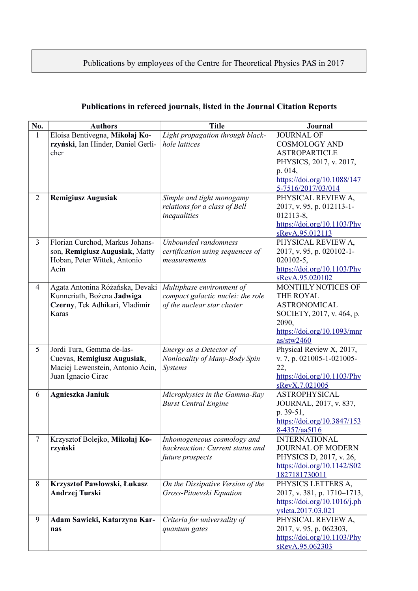## Publications by employees of the Centre for Theoretical Physics PAS in 2017

| Eloisa Bentivegna, Mikołaj Ko-<br>Light propagation through black-<br><b>JOURNAL OF</b><br>1<br>rzyński, Ian Hinder, Daniel Gerli-<br>hole lattices<br><b>COSMOLOGY AND</b><br>cher<br><b>ASTROPARTICLE</b><br>PHYSICS, 2017, v. 2017,<br>p. 014,<br>https://doi.org/10.1088/147<br>5-7516/2017/03/014<br>$\overline{2}$<br><b>Remigiusz Augusiak</b><br>PHYSICAL REVIEW A,<br>Simple and tight monogamy<br>relations for a class of Bell<br>2017, v. 95, p. 012113-1-<br>inequalities<br>012113-8,<br>$\frac{https://doi.org/10.1103/Phy}{https://doi.org/10.1103/Phy}$<br>sRevA.95.012113<br>$\overline{3}$<br>Unbounded randomness<br>PHYSICAL REVIEW A,<br>Florian Curchod, Markus Johans-<br>son, Remigiusz Augusiak, Matty<br>2017, v. 95, p. 020102-1-<br>certification using sequences of<br>Hoban, Peter Wittek, Antonio<br>020102-5,<br>measurements<br>$\frac{https://doi.org/10.1103/Phy}{https://doi.org/10.1103/Phy}$<br>Acin<br>sRevA.95.020102<br>Agata Antonina Różańska, Devaki<br>Multiphase environment of<br>MONTHLY NOTICES OF<br>$\overline{4}$<br>Kunneriath, Bożena Jadwiga<br>compact galactic nuclei: the role<br>THE ROYAL<br>Czerny, Tek Adhikari, Vladimir<br><b>ASTRONOMICAL</b><br>of the nuclear star cluster<br>Karas<br>SOCIETY, 2017, v. 464, p.<br>2090,<br>https://doi.org/10.1093/mnr<br>as/stw2460<br>5<br>Physical Review X, 2017,<br>Jordi Tura, Gemma de-las-<br>Energy as a Detector of<br>Cuevas, Remigiusz Augusiak,<br>Nonlocality of Many-Body Spin<br>v. 7, p. 021005-1-021005-<br>Maciej Lewenstein, Antonio Acin,<br>Systems<br>22,<br>Juan Ignacio Cirac<br>$\frac{https://doi.org/10.1103/Phy}{https://doi.org/10.1103/Phy}$<br>sRevX.7.021005<br>6<br>Agnieszka Janiuk<br>Microphysics in the Gamma-Ray<br><b>ASTROPHYSICAL</b><br>JOURNAL, 2017, v. 837,<br><b>Burst Central Engine</b> |
|------------------------------------------------------------------------------------------------------------------------------------------------------------------------------------------------------------------------------------------------------------------------------------------------------------------------------------------------------------------------------------------------------------------------------------------------------------------------------------------------------------------------------------------------------------------------------------------------------------------------------------------------------------------------------------------------------------------------------------------------------------------------------------------------------------------------------------------------------------------------------------------------------------------------------------------------------------------------------------------------------------------------------------------------------------------------------------------------------------------------------------------------------------------------------------------------------------------------------------------------------------------------------------------------------------------------------------------------------------------------------------------------------------------------------------------------------------------------------------------------------------------------------------------------------------------------------------------------------------------------------------------------------------------------------------------------------------------------------------------------------------------------------------------------------------------------------------------------|
|                                                                                                                                                                                                                                                                                                                                                                                                                                                                                                                                                                                                                                                                                                                                                                                                                                                                                                                                                                                                                                                                                                                                                                                                                                                                                                                                                                                                                                                                                                                                                                                                                                                                                                                                                                                                                                                |
|                                                                                                                                                                                                                                                                                                                                                                                                                                                                                                                                                                                                                                                                                                                                                                                                                                                                                                                                                                                                                                                                                                                                                                                                                                                                                                                                                                                                                                                                                                                                                                                                                                                                                                                                                                                                                                                |
|                                                                                                                                                                                                                                                                                                                                                                                                                                                                                                                                                                                                                                                                                                                                                                                                                                                                                                                                                                                                                                                                                                                                                                                                                                                                                                                                                                                                                                                                                                                                                                                                                                                                                                                                                                                                                                                |
|                                                                                                                                                                                                                                                                                                                                                                                                                                                                                                                                                                                                                                                                                                                                                                                                                                                                                                                                                                                                                                                                                                                                                                                                                                                                                                                                                                                                                                                                                                                                                                                                                                                                                                                                                                                                                                                |
|                                                                                                                                                                                                                                                                                                                                                                                                                                                                                                                                                                                                                                                                                                                                                                                                                                                                                                                                                                                                                                                                                                                                                                                                                                                                                                                                                                                                                                                                                                                                                                                                                                                                                                                                                                                                                                                |
|                                                                                                                                                                                                                                                                                                                                                                                                                                                                                                                                                                                                                                                                                                                                                                                                                                                                                                                                                                                                                                                                                                                                                                                                                                                                                                                                                                                                                                                                                                                                                                                                                                                                                                                                                                                                                                                |
|                                                                                                                                                                                                                                                                                                                                                                                                                                                                                                                                                                                                                                                                                                                                                                                                                                                                                                                                                                                                                                                                                                                                                                                                                                                                                                                                                                                                                                                                                                                                                                                                                                                                                                                                                                                                                                                |
|                                                                                                                                                                                                                                                                                                                                                                                                                                                                                                                                                                                                                                                                                                                                                                                                                                                                                                                                                                                                                                                                                                                                                                                                                                                                                                                                                                                                                                                                                                                                                                                                                                                                                                                                                                                                                                                |
|                                                                                                                                                                                                                                                                                                                                                                                                                                                                                                                                                                                                                                                                                                                                                                                                                                                                                                                                                                                                                                                                                                                                                                                                                                                                                                                                                                                                                                                                                                                                                                                                                                                                                                                                                                                                                                                |
|                                                                                                                                                                                                                                                                                                                                                                                                                                                                                                                                                                                                                                                                                                                                                                                                                                                                                                                                                                                                                                                                                                                                                                                                                                                                                                                                                                                                                                                                                                                                                                                                                                                                                                                                                                                                                                                |
|                                                                                                                                                                                                                                                                                                                                                                                                                                                                                                                                                                                                                                                                                                                                                                                                                                                                                                                                                                                                                                                                                                                                                                                                                                                                                                                                                                                                                                                                                                                                                                                                                                                                                                                                                                                                                                                |
|                                                                                                                                                                                                                                                                                                                                                                                                                                                                                                                                                                                                                                                                                                                                                                                                                                                                                                                                                                                                                                                                                                                                                                                                                                                                                                                                                                                                                                                                                                                                                                                                                                                                                                                                                                                                                                                |
|                                                                                                                                                                                                                                                                                                                                                                                                                                                                                                                                                                                                                                                                                                                                                                                                                                                                                                                                                                                                                                                                                                                                                                                                                                                                                                                                                                                                                                                                                                                                                                                                                                                                                                                                                                                                                                                |
|                                                                                                                                                                                                                                                                                                                                                                                                                                                                                                                                                                                                                                                                                                                                                                                                                                                                                                                                                                                                                                                                                                                                                                                                                                                                                                                                                                                                                                                                                                                                                                                                                                                                                                                                                                                                                                                |
|                                                                                                                                                                                                                                                                                                                                                                                                                                                                                                                                                                                                                                                                                                                                                                                                                                                                                                                                                                                                                                                                                                                                                                                                                                                                                                                                                                                                                                                                                                                                                                                                                                                                                                                                                                                                                                                |
|                                                                                                                                                                                                                                                                                                                                                                                                                                                                                                                                                                                                                                                                                                                                                                                                                                                                                                                                                                                                                                                                                                                                                                                                                                                                                                                                                                                                                                                                                                                                                                                                                                                                                                                                                                                                                                                |
|                                                                                                                                                                                                                                                                                                                                                                                                                                                                                                                                                                                                                                                                                                                                                                                                                                                                                                                                                                                                                                                                                                                                                                                                                                                                                                                                                                                                                                                                                                                                                                                                                                                                                                                                                                                                                                                |
|                                                                                                                                                                                                                                                                                                                                                                                                                                                                                                                                                                                                                                                                                                                                                                                                                                                                                                                                                                                                                                                                                                                                                                                                                                                                                                                                                                                                                                                                                                                                                                                                                                                                                                                                                                                                                                                |
|                                                                                                                                                                                                                                                                                                                                                                                                                                                                                                                                                                                                                                                                                                                                                                                                                                                                                                                                                                                                                                                                                                                                                                                                                                                                                                                                                                                                                                                                                                                                                                                                                                                                                                                                                                                                                                                |
|                                                                                                                                                                                                                                                                                                                                                                                                                                                                                                                                                                                                                                                                                                                                                                                                                                                                                                                                                                                                                                                                                                                                                                                                                                                                                                                                                                                                                                                                                                                                                                                                                                                                                                                                                                                                                                                |
|                                                                                                                                                                                                                                                                                                                                                                                                                                                                                                                                                                                                                                                                                                                                                                                                                                                                                                                                                                                                                                                                                                                                                                                                                                                                                                                                                                                                                                                                                                                                                                                                                                                                                                                                                                                                                                                |
|                                                                                                                                                                                                                                                                                                                                                                                                                                                                                                                                                                                                                                                                                                                                                                                                                                                                                                                                                                                                                                                                                                                                                                                                                                                                                                                                                                                                                                                                                                                                                                                                                                                                                                                                                                                                                                                |
|                                                                                                                                                                                                                                                                                                                                                                                                                                                                                                                                                                                                                                                                                                                                                                                                                                                                                                                                                                                                                                                                                                                                                                                                                                                                                                                                                                                                                                                                                                                                                                                                                                                                                                                                                                                                                                                |
|                                                                                                                                                                                                                                                                                                                                                                                                                                                                                                                                                                                                                                                                                                                                                                                                                                                                                                                                                                                                                                                                                                                                                                                                                                                                                                                                                                                                                                                                                                                                                                                                                                                                                                                                                                                                                                                |
|                                                                                                                                                                                                                                                                                                                                                                                                                                                                                                                                                                                                                                                                                                                                                                                                                                                                                                                                                                                                                                                                                                                                                                                                                                                                                                                                                                                                                                                                                                                                                                                                                                                                                                                                                                                                                                                |
|                                                                                                                                                                                                                                                                                                                                                                                                                                                                                                                                                                                                                                                                                                                                                                                                                                                                                                                                                                                                                                                                                                                                                                                                                                                                                                                                                                                                                                                                                                                                                                                                                                                                                                                                                                                                                                                |
|                                                                                                                                                                                                                                                                                                                                                                                                                                                                                                                                                                                                                                                                                                                                                                                                                                                                                                                                                                                                                                                                                                                                                                                                                                                                                                                                                                                                                                                                                                                                                                                                                                                                                                                                                                                                                                                |
|                                                                                                                                                                                                                                                                                                                                                                                                                                                                                                                                                                                                                                                                                                                                                                                                                                                                                                                                                                                                                                                                                                                                                                                                                                                                                                                                                                                                                                                                                                                                                                                                                                                                                                                                                                                                                                                |
|                                                                                                                                                                                                                                                                                                                                                                                                                                                                                                                                                                                                                                                                                                                                                                                                                                                                                                                                                                                                                                                                                                                                                                                                                                                                                                                                                                                                                                                                                                                                                                                                                                                                                                                                                                                                                                                |
| p. 39-51,                                                                                                                                                                                                                                                                                                                                                                                                                                                                                                                                                                                                                                                                                                                                                                                                                                                                                                                                                                                                                                                                                                                                                                                                                                                                                                                                                                                                                                                                                                                                                                                                                                                                                                                                                                                                                                      |
| https://doi.org/10.3847/153<br>8-4357/aa5f16                                                                                                                                                                                                                                                                                                                                                                                                                                                                                                                                                                                                                                                                                                                                                                                                                                                                                                                                                                                                                                                                                                                                                                                                                                                                                                                                                                                                                                                                                                                                                                                                                                                                                                                                                                                                   |
| 7<br>Krzysztof Bolejko, Mikołaj Ko-<br>Inhomogeneous cosmology and<br><b>INTERNATIONAL</b>                                                                                                                                                                                                                                                                                                                                                                                                                                                                                                                                                                                                                                                                                                                                                                                                                                                                                                                                                                                                                                                                                                                                                                                                                                                                                                                                                                                                                                                                                                                                                                                                                                                                                                                                                     |
| backreaction: Current status and<br>rzyński<br><b>JOURNAL OF MODERN</b>                                                                                                                                                                                                                                                                                                                                                                                                                                                                                                                                                                                                                                                                                                                                                                                                                                                                                                                                                                                                                                                                                                                                                                                                                                                                                                                                                                                                                                                                                                                                                                                                                                                                                                                                                                        |
| PHYSICS D, 2017, v. 26,<br>future prospects                                                                                                                                                                                                                                                                                                                                                                                                                                                                                                                                                                                                                                                                                                                                                                                                                                                                                                                                                                                                                                                                                                                                                                                                                                                                                                                                                                                                                                                                                                                                                                                                                                                                                                                                                                                                    |
| https://doi.org/10.1142/S02                                                                                                                                                                                                                                                                                                                                                                                                                                                                                                                                                                                                                                                                                                                                                                                                                                                                                                                                                                                                                                                                                                                                                                                                                                                                                                                                                                                                                                                                                                                                                                                                                                                                                                                                                                                                                    |
| 1827181730011                                                                                                                                                                                                                                                                                                                                                                                                                                                                                                                                                                                                                                                                                                                                                                                                                                                                                                                                                                                                                                                                                                                                                                                                                                                                                                                                                                                                                                                                                                                                                                                                                                                                                                                                                                                                                                  |
| 8<br>Krzysztof Pawłowski, Łukasz<br>On the Dissipative Version of the<br>PHYSICS LETTERS A,                                                                                                                                                                                                                                                                                                                                                                                                                                                                                                                                                                                                                                                                                                                                                                                                                                                                                                                                                                                                                                                                                                                                                                                                                                                                                                                                                                                                                                                                                                                                                                                                                                                                                                                                                    |
| Andrzej Turski<br>Gross-Pitaevski Equation<br>2017, v. 381, p. 1710–1713,                                                                                                                                                                                                                                                                                                                                                                                                                                                                                                                                                                                                                                                                                                                                                                                                                                                                                                                                                                                                                                                                                                                                                                                                                                                                                                                                                                                                                                                                                                                                                                                                                                                                                                                                                                      |
| https://doi.org/10.1016/j.ph                                                                                                                                                                                                                                                                                                                                                                                                                                                                                                                                                                                                                                                                                                                                                                                                                                                                                                                                                                                                                                                                                                                                                                                                                                                                                                                                                                                                                                                                                                                                                                                                                                                                                                                                                                                                                   |
| ysleta.2017.03.021                                                                                                                                                                                                                                                                                                                                                                                                                                                                                                                                                                                                                                                                                                                                                                                                                                                                                                                                                                                                                                                                                                                                                                                                                                                                                                                                                                                                                                                                                                                                                                                                                                                                                                                                                                                                                             |
| 9<br>Adam Sawicki, Katarzyna Kar-<br>PHYSICAL REVIEW A,<br>Criteria for universality of                                                                                                                                                                                                                                                                                                                                                                                                                                                                                                                                                                                                                                                                                                                                                                                                                                                                                                                                                                                                                                                                                                                                                                                                                                                                                                                                                                                                                                                                                                                                                                                                                                                                                                                                                        |
| 2017, v. 95, p. 062303,<br>quantum gates<br>nas                                                                                                                                                                                                                                                                                                                                                                                                                                                                                                                                                                                                                                                                                                                                                                                                                                                                                                                                                                                                                                                                                                                                                                                                                                                                                                                                                                                                                                                                                                                                                                                                                                                                                                                                                                                                |
| https://doi.org/10.1103/Phy<br>sRevA.95.062303                                                                                                                                                                                                                                                                                                                                                                                                                                                                                                                                                                                                                                                                                                                                                                                                                                                                                                                                                                                                                                                                                                                                                                                                                                                                                                                                                                                                                                                                                                                                                                                                                                                                                                                                                                                                 |

#### **Publications in refereed journals, listed in the Journal Citation Reports**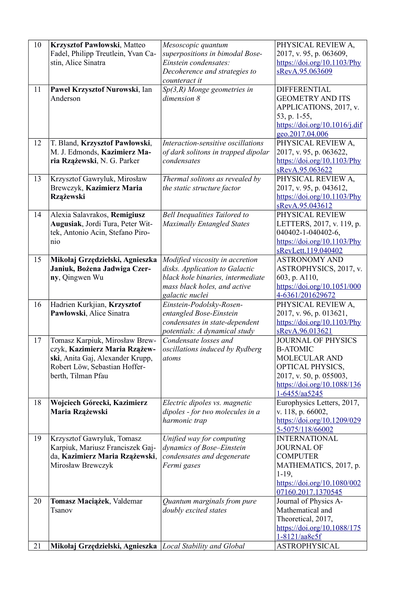| 10 | Krzysztof Pawłowski, Matteo<br>Fadel, Philipp Treutlein, Yvan Ca-<br>stin, Alice Sinatra                                                                   | Mesoscopic quantum<br>superpositions in bimodal Bose-<br>Einstein condensates:<br>Decoherence and strategies to                                           | PHYSICAL REVIEW A,<br>2017, v. 95, p. 063609,<br>https://doi.org/10.1103/Phy<br>sRevA.95.063609                                                                                      |
|----|------------------------------------------------------------------------------------------------------------------------------------------------------------|-----------------------------------------------------------------------------------------------------------------------------------------------------------|--------------------------------------------------------------------------------------------------------------------------------------------------------------------------------------|
| 11 | Paweł Krzysztof Nurowski, Ian<br>Anderson                                                                                                                  | counteract it<br>$Sp(3,R)$ Monge geometries in<br>dimension 8                                                                                             | <b>DIFFERENTIAL</b><br><b>GEOMETRY AND ITS</b><br>APPLICATIONS, 2017, v.<br>53, p. 1-55,<br>$\frac{https://doi.org/10.1016/j.dif}{https://doi.org/10.1016/j.dif}$<br>geo.2017.04.006 |
| 12 | T. Bland, Krzysztof Pawłowski,<br>M. J. Edmonds, Kazimierz Ma-<br>ria Rzążewski, N. G. Parker                                                              | Interaction-sensitive oscillations<br>of dark solitons in trapped dipolar<br>condensates                                                                  | PHYSICAL REVIEW A,<br>2017, v. 95, p. 063622,<br>$\frac{https://doi.org/10.1103/Phy}{https://doi.org/10.1103/Phy}$<br>sRevA.95.063622                                                |
| 13 | Krzysztof Gawryluk, Mirosław<br>Brewczyk, Kazimierz Maria<br>Rzążewski                                                                                     | Thermal solitons as revealed by<br>the static structure factor                                                                                            | PHYSICAL REVIEW A,<br>2017, v. 95, p. 043612,<br>https://doi.org/10.1103/Phy<br>sRevA.95.043612                                                                                      |
| 14 | Alexia Salavrakos, Remigiusz<br>Augusiak, Jordi Tura, Peter Wit-<br>tek, Antonio Acin, Stefano Piro-<br>nio                                                | <b>Bell Inequalities Tailored to</b><br><b>Maximally Entangled States</b>                                                                                 | PHYSICAL REVIEW<br>LETTERS, 2017, v. 119, p.<br>040402-1-040402-6,<br>$\frac{https://doi.org/10.1103/Phy}{https://doi.org/10.1103/Phy}$<br>sRevLett.119.040402                       |
| 15 | Mikołaj Grzędzielski, Agnieszka<br>Janiuk, Bożena Jadwiga Czer-<br>ny, Qingwen Wu                                                                          | Modified viscosity in accretion<br>disks. Application to Galactic<br>black hole binaries, intermediate<br>mass black holes, and active<br>galactic nuclei | <b>ASTRONOMY AND</b><br>ASTROPHYSICS, 2017, v.<br>603, p. A110,<br>https://doi.org/10.1051/000<br>4-6361/201629672                                                                   |
| 16 | Hadrien Kurkjian, Krzysztof<br>Pawłowski, Alice Sinatra                                                                                                    | Einstein-Podolsky-Rosen-<br>entangled Bose-Einstein<br>condensates in state-dependent<br>potentials: A dynamical study                                    | PHYSICAL REVIEW A,<br>2017, v. 96, p. 013621,<br>$\frac{https://doi.org/10.1103/Phy}{https://doi.org/10.1103/Phy}$<br>sRevA.96.013621                                                |
| 17 | Tomasz Karpiuk, Mirosław Brew-<br>czyk, Kazimierz Maria Rzążew-<br>ski, Anita Gaj, Alexander Krupp,<br>Robert Löw, Sebastian Hoffer-<br>berth, Tilman Pfau | Condensate losses and<br>oscillations induced by Rydberg<br>atoms                                                                                         | <b>JOURNAL OF PHYSICS</b><br><b>B-ATOMIC</b><br><b>MOLECULAR AND</b><br>OPTICAL PHYSICS,<br>2017, v. 50, p. 055003,<br>https://doi.org/10.1088/136<br>1-6455/aa5245                  |
| 18 | Wojciech Górecki, Kazimierz<br>Maria Rzążewski                                                                                                             | Electric dipoles vs. magnetic<br>dipoles - for two molecules in a<br>harmonic trap                                                                        | Europhysics Letters, 2017,<br>v. 118, p. 66002,<br>https://doi.org/10.1209/029<br>5-5075/118/66002                                                                                   |
| 19 | Krzysztof Gawryluk, Tomasz<br>Karpiuk, Mariusz Franciszek Gaj-<br>da, Kazimierz Maria Rzążewski,<br>Mirosław Brewczyk                                      | Unified way for computing<br>dynamics of Bose-Einstein<br>condensates and degenerate<br>Fermi gases                                                       | <b>INTERNATIONAL</b><br><b>JOURNAL OF</b><br><b>COMPUTER</b><br>MATHEMATICS, 2017, p.<br>$1-19$ ,<br>https://doi.org/10.1080/002<br>07160.2017.1370545                               |
| 20 | Tomasz Maciążek, Valdemar<br>Tsanov                                                                                                                        | Quantum marginals from pure<br>doubly excited states                                                                                                      | Journal of Physics A-<br>Mathematical and<br>Theoretical, 2017,<br>https://doi.org/10.1088/175<br>1-8121/aa8c5f                                                                      |
| 21 | Mikołaj Grzędzielski, Agnieszka                                                                                                                            | Local Stability and Global                                                                                                                                | <b>ASTROPHYSICAL</b>                                                                                                                                                                 |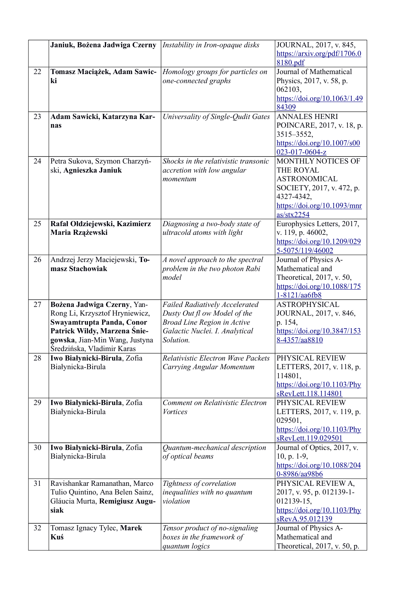|    | Janiuk, Bożena Jadwiga Czerny                               | Instability in Iron-opaque disks                                   | JOURNAL, 2017, v. 845,                                                                   |
|----|-------------------------------------------------------------|--------------------------------------------------------------------|------------------------------------------------------------------------------------------|
|    |                                                             |                                                                    | https://arxiv.org/pdf/1706.0<br>8180.pdf                                                 |
| 22 | Tomasz Maciążek, Adam Sawic-                                | Homology groups for particles on                                   | Journal of Mathematical                                                                  |
|    | ki                                                          | one-connected graphs                                               | Physics, 2017, v. 58, p.                                                                 |
|    |                                                             |                                                                    | 062103,                                                                                  |
|    |                                                             |                                                                    | https://doi.org/10.1063/1.49<br>84309                                                    |
| 23 | Adam Sawicki, Katarzyna Kar-                                | Universality of Single-Qudit Gates                                 | <b>ANNALES HENRI</b>                                                                     |
|    | nas                                                         |                                                                    | POINCARE, 2017, v. 18, p.                                                                |
|    |                                                             |                                                                    | 3515-3552,                                                                               |
|    |                                                             |                                                                    | https://doi.org/10.1007/s00                                                              |
| 24 | Petra Sukova, Szymon Charzyń-                               | Shocks in the relativistic transonic                               | 023-017-0604-z<br>MONTHLY NOTICES OF                                                     |
|    | ski, Agnieszka Janiuk                                       | accretion with low angular                                         | THE ROYAL                                                                                |
|    |                                                             | momentum                                                           | <b>ASTRONOMICAL</b>                                                                      |
|    |                                                             |                                                                    | SOCIETY, 2017, v. 472, p.                                                                |
|    |                                                             |                                                                    | 4327-4342,                                                                               |
|    |                                                             |                                                                    | $\frac{https://doi.org/10.1093/mm}{https://doi.org/10.1093/mm}$                          |
|    |                                                             |                                                                    | as/stx2254                                                                               |
| 25 | Rafał Ołdziejewski, Kazimierz                               | Diagnosing a two-body state of                                     | Europhysics Letters, 2017,                                                               |
|    | Maria Rzążewski                                             | ultracold atoms with light                                         | v. 119, p. 46002,                                                                        |
|    |                                                             |                                                                    | https://doi.org/10.1209/029<br>5-5075/119/46002                                          |
| 26 | Andrzej Jerzy Maciejewski, To-                              | A novel approach to the spectral                                   | Journal of Physics A-                                                                    |
|    | masz Stachowiak                                             | problem in the two photon Rabi                                     | Mathematical and                                                                         |
|    |                                                             | model                                                              | Theoretical, 2017, v. 50,                                                                |
|    |                                                             |                                                                    | https://doi.org/10.1088/175                                                              |
|    |                                                             |                                                                    | 1-8121/aa6fb8                                                                            |
| 27 | Bożena Jadwiga Czerny, Yan-                                 | <b>Failed Radiatively Accelerated</b>                              | <b>ASTROPHYSICAL</b>                                                                     |
|    | Rong Li, Krzysztof Hryniewicz,<br>Swayamtrupta Panda, Conor | Dusty Out fl ow Model of the<br><b>Broad Line Region in Active</b> | JOURNAL, 2017, v. 846,<br>p. 154,                                                        |
|    | Patrick Wildy, Marzena Śnie-                                | Galactic Nuclei. I. Analytical                                     | https://doi.org/10.3847/153                                                              |
|    | gowska, Jian-Min Wang, Justyna                              | Solution.                                                          | 8-4357/aa8810                                                                            |
|    | Średzińska, Vladimir Karas                                  |                                                                    |                                                                                          |
| 28 | Iwo Białynicki-Birula, Zofia                                | Relativistic Electron Wave Packets                                 | PHYSICAL REVIEW                                                                          |
|    | Białynicka-Birula                                           | Carrying Angular Momentum                                          | LETTERS, 2017, v. 118, p.                                                                |
|    |                                                             |                                                                    | 114801,                                                                                  |
|    |                                                             |                                                                    | $\frac{https://doi.org/10.1103/Phy}{https://doi.org/10.1103/Phy}$<br>sRevLett.118.114801 |
| 29 | Iwo Białynicki-Birula, Zofia                                | Comment on Relativistic Electron                                   | PHYSICAL REVIEW                                                                          |
|    | Białynicka-Birula                                           | <i>Vortices</i>                                                    | LETTERS, 2017, v. 119, p.                                                                |
|    |                                                             |                                                                    | 029501,                                                                                  |
|    |                                                             |                                                                    | $\frac{https://doi.org/10.1103/Phy}{https://doi.org/10.1103/Phy}$                        |
|    |                                                             |                                                                    | sRevLett.119.029501                                                                      |
| 30 | Iwo Białynicki-Birula, Zofia                                | Quantum-mechanical description                                     | Journal of Optics, 2017, v.                                                              |
|    | Białynicka-Birula                                           | of optical beams                                                   | $10, p. 1-9,$<br>https://doi.org/10.1088/204                                             |
|    |                                                             |                                                                    | 0-8986/aa98b6                                                                            |
| 31 | Ravishankar Ramanathan, Marco                               | Tightness of correlation                                           | PHYSICAL REVIEW A,                                                                       |
|    | Tulio Quintino, Ana Belen Sainz,                            | inequalities with no quantum                                       | 2017, v. 95, p. 012139-1-                                                                |
|    | Gláucia Murta, Remigiusz Augu-                              | violation                                                          | 012139-15,                                                                               |
|    | siak                                                        |                                                                    | $\frac{https://doi.org/10.1103/Phy}{https://doi.org/10.1103/Phy}$                        |
|    |                                                             |                                                                    | sRevA.95.012139                                                                          |
| 32 | Tomasz Ignacy Tylec, Marek<br>Kuś                           | Tensor product of no-signaling                                     | Journal of Physics A-<br>Mathematical and                                                |
|    |                                                             | boxes in the framework of<br>quantum logics                        | Theoretical, 2017, v. 50, p.                                                             |
|    |                                                             |                                                                    |                                                                                          |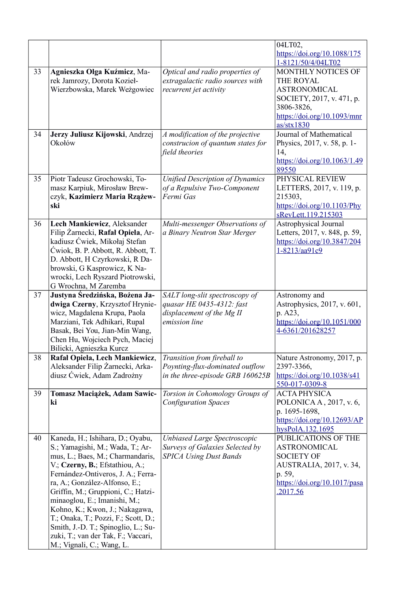|    |                                                        |                                                             | 04LT02,                                                                               |
|----|--------------------------------------------------------|-------------------------------------------------------------|---------------------------------------------------------------------------------------|
|    |                                                        |                                                             | https://doi.org/10.1088/175                                                           |
|    |                                                        |                                                             | 1-8121/50/4/04LT02                                                                    |
| 33 | Agnieszka Olga Kuźmicz, Ma-                            | Optical and radio properties of                             | MONTHLY NOTICES OF                                                                    |
|    | rek Jamrozy, Dorota Kozieł-                            | extragalactic radio sources with                            | THE ROYAL                                                                             |
|    | Wierzbowska, Marek Weżgowiec                           | recurrent jet activity                                      | <b>ASTRONOMICAL</b>                                                                   |
|    |                                                        |                                                             | SOCIETY, 2017, v. 471, p.                                                             |
|    |                                                        |                                                             | 3806-3826,                                                                            |
|    |                                                        |                                                             | https://doi.org/10.1093/mnr                                                           |
|    |                                                        |                                                             | as/stx1830                                                                            |
| 34 | Jerzy Juliusz Kijowski, Andrzej<br>Okołów              | A modification of the projective                            | Journal of Mathematical                                                               |
|    |                                                        | construcion of quantum states for<br>field theories         | Physics, 2017, v. 58, p. 1-<br>14,                                                    |
|    |                                                        |                                                             | https://doi.org/10.1063/1.49                                                          |
|    |                                                        |                                                             | 89550                                                                                 |
| 35 | Piotr Tadeusz Grochowski, To-                          | <b>Unified Description of Dynamics</b>                      | PHYSICAL REVIEW                                                                       |
|    | masz Karpiuk, Mirosław Brew-                           | of a Repulsive Two-Component                                | LETTERS, 2017, v. 119, p.                                                             |
|    | czyk, Kazimierz Maria Rzążew-                          | Fermi Gas                                                   | 215303,                                                                               |
|    | ski                                                    |                                                             | $\frac{https://doi.org/10.1103/Phy}{https://doi.org/10.1103/Phy}$                     |
|    |                                                        |                                                             | sRevLett.119.215303                                                                   |
| 36 | Lech Mankiewicz, Aleksander                            | Multi-messenger Observations of                             | Astrophysical Journal                                                                 |
|    | Filip Żarnecki, Rafał Opiela, Ar-                      | a Binary Neutron Star Merger                                | Letters, 2017, v. 848, p. 59,                                                         |
|    | kadiusz Ćwiek, Mikołaj Stefan                          |                                                             | https://doi.org/10.3847/204                                                           |
|    | Ćwiok, B. P. Abbott, R. Abbott, T.                     |                                                             | 1-8213/aa91c9                                                                         |
|    | D. Abbott, H Czyrkowski, R Da-                         |                                                             |                                                                                       |
|    | browski, G Kasprowicz, K Na-                           |                                                             |                                                                                       |
|    | wrocki, Lech Ryszard Piotrowski,                       |                                                             |                                                                                       |
| 37 | G Wrochna, M Zaremba<br>Justyna Średzińska, Bożena Ja- |                                                             |                                                                                       |
|    | dwiga Czerny, Krzysztof Hrynie-                        | SALT long-slit spectroscopy of<br>quasar HE 0435-4312: fast | Astronomy and<br>Astrophysics, 2017, v. 601,                                          |
|    | wicz, Magdalena Krupa, Paola                           | displacement of the Mg II                                   | p. A23,                                                                               |
|    | Marziani, Tek Adhikari, Rupal                          | emission line                                               | https://doi.org/10.1051/000                                                           |
|    | Basak, Bei You, Jian-Min Wang,                         |                                                             | 4-6361/201628257                                                                      |
|    | Chen Hu, Wojciech Pych, Maciej                         |                                                             |                                                                                       |
|    | Bilicki, Agnieszka Kurcz                               |                                                             |                                                                                       |
| 38 | Rafał Opiela, Lech Mankiewicz,                         | Transition from fireball to                                 | Nature Astronomy, 2017, p.                                                            |
|    | Aleksander Filip Żarnecki, Arka-                       | Poynting-flux-dominated outflow                             | 2397-3366,                                                                            |
|    | diusz Ćwiek, Adam Zadrożny                             | in the three-episode GRB 160625B                            | https://doi.org/10.1038/s41                                                           |
|    |                                                        |                                                             | 550-017-0309-8                                                                        |
| 39 | Tomasz Maciążek, Adam Sawic-                           | Torsion in Cohomology Groups of                             | <b>ACTA PHYSICA</b>                                                                   |
|    | ki                                                     | <b>Configuration Spaces</b>                                 | POLONICA A, 2017, v. 6,                                                               |
|    |                                                        |                                                             | p. 1695-1698,                                                                         |
|    |                                                        |                                                             | $\frac{https://doi.org/10.12693/AP}{https://doi.org/10.12693/AP}$<br>hysPolA.132.1695 |
| 40 | Kaneda, H.; Ishihara, D.; Oyabu,                       | Unbiased Large Spectroscopic                                | PUBLICATIONS OF THE                                                                   |
|    | S.; Yamagishi, M.; Wada, T.; Ar-                       | Surveys of Galaxies Selected by                             | <b>ASTRONOMICAL</b>                                                                   |
|    | mus, L.; Baes, M.; Charmandaris,                       | <b>SPICA Using Dust Bands</b>                               | <b>SOCIETY OF</b>                                                                     |
|    | V.; Czerny, B.; Efstathiou, A.;                        |                                                             | AUSTRALIA, 2017, v. 34,                                                               |
|    | Fernández-Ontiveros, J. A.; Ferra-                     |                                                             | p. 59,                                                                                |
|    | ra, A.; González-Alfonso, E.;                          |                                                             | $\frac{https://doi.org/10.1017/pasa}{https://doi.org/10.1017/pasa}$                   |
|    | Griffin, M.; Gruppioni, C.; Hatzi-                     |                                                             | 2017.56                                                                               |
|    | minaoglou, E.; Imanishi, M.;                           |                                                             |                                                                                       |
|    | Kohno, K.; Kwon, J.; Nakagawa,                         |                                                             |                                                                                       |
|    | T.; Onaka, T.; Pozzi, F.; Scott, D.;                   |                                                             |                                                                                       |
|    | Smith, J.-D. T.; Spinoglio, L.; Su-                    |                                                             |                                                                                       |
|    | zuki, T.; van der Tak, F.; Vaccari,                    |                                                             |                                                                                       |
|    | M.; Vignali, C.; Wang, L.                              |                                                             |                                                                                       |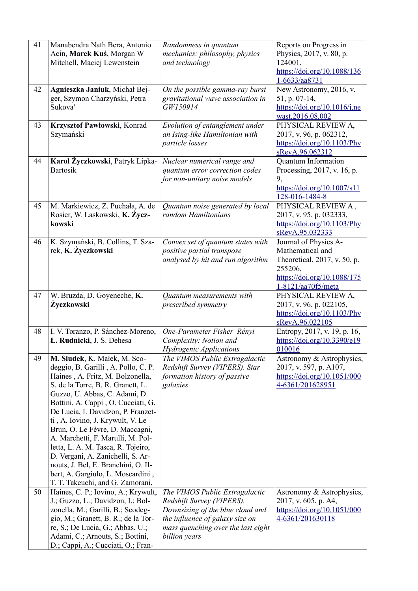| 41 | Manabendra Nath Bera, Antonio<br>Acin, Marek Kuś, Morgan W<br>Mitchell, Maciej Lewenstein                                                                                                                                                                                                                                                                                                                                                                                                                                                                        | Randomness in quantum<br>mechanics: philosophy, physics<br>and technology                                                                                                                 | Reports on Progress in<br>Physics, 2017, v. 80, p.<br>124001,<br>https://doi.org/10.1088/136<br>1-6633/aa8731                             |
|----|------------------------------------------------------------------------------------------------------------------------------------------------------------------------------------------------------------------------------------------------------------------------------------------------------------------------------------------------------------------------------------------------------------------------------------------------------------------------------------------------------------------------------------------------------------------|-------------------------------------------------------------------------------------------------------------------------------------------------------------------------------------------|-------------------------------------------------------------------------------------------------------------------------------------------|
| 42 | Agnieszka Janiuk, Michał Bej-<br>ger, Szymon Charzyński, Petra<br>Sukova'                                                                                                                                                                                                                                                                                                                                                                                                                                                                                        | On the possible gamma-ray burst-<br>gravitational wave association in<br>GW150914                                                                                                         | New Astronomy, 2016, v.<br>51, p. 07-14,<br>https://doi.org/10.1016/j.ne<br>wast.2016.08.002                                              |
| 43 | Krzysztof Pawłowski, Konrad<br>Szymański                                                                                                                                                                                                                                                                                                                                                                                                                                                                                                                         | Evolution of entanglement under<br>an Ising-like Hamiltonian with<br>particle losses                                                                                                      | PHYSICAL REVIEW A,<br>2017, v. 96, p. 062312,<br>$\frac{https://doi.org/10.1103/Phy}{https://doi.org/10.1103/Phy}$<br>sRevA.96.062312     |
| 44 | Karol Życzkowski, Patryk Lipka-<br><b>Bartosik</b>                                                                                                                                                                                                                                                                                                                                                                                                                                                                                                               | Nuclear numerical range and<br>quantum error correction codes<br>for non-unitary noise models                                                                                             | <b>Quantum Information</b><br>Processing, 2017, v. 16, p.<br>9,<br>https://doi.org/10.1007/s11<br>128-016-1484-8                          |
| 45 | M. Markiewicz, Z. Puchała, A. de<br>Rosier, W. Laskowski, K. Życz-<br>kowski                                                                                                                                                                                                                                                                                                                                                                                                                                                                                     | Quantum noise generated by local<br>random Hamiltonians                                                                                                                                   | PHYSICAL REVIEW A,<br>2017, v. 95, p. 032333,<br>$\frac{https://doi.org/10.1103/Phy}{https://doi.org/10.1103/Phy}$<br>sRevA.95.032333     |
| 46 | K. Szymański, B. Collins, T. Sza-<br>rek, K. Życzkowski                                                                                                                                                                                                                                                                                                                                                                                                                                                                                                          | Convex set of quantum states with<br>positive partial transpose<br>analysed by hit and run algorithm                                                                                      | Journal of Physics A-<br>Mathematical and<br>Theoretical, 2017, v. 50, p.<br>255206,<br>https://doi.org/10.1088/175<br>1-8121/aa70f5/meta |
| 47 | W. Bruzda, D. Goyeneche, K.<br>Życzkowski                                                                                                                                                                                                                                                                                                                                                                                                                                                                                                                        | Quantum measurements with<br>prescribed symmetry                                                                                                                                          | PHYSICAL REVIEW A,<br>2017, v. 96, p. 022105,<br>$\frac{https://doi.org/10.1103/Phy}{https://doi.org/10.1103/Phy}$<br>sRevA.96.022105     |
| 48 | I. V. Toranzo, P. Sánchez-Moreno,<br>L. Rudnicki, J. S. Dehesa                                                                                                                                                                                                                                                                                                                                                                                                                                                                                                   | One-Parameter Fisher-Rényi<br>Complexity: Notion and<br>Hydrogenic Applications                                                                                                           | Entropy, 2017, v. 19, p. 16,<br>https://doi.org/10.3390/e19<br>010016                                                                     |
| 49 | M. Siudek, K. Małek, M. Sco-<br>deggio, B. Garilli, A. Pollo, C. P.<br>Haines, A. Fritz, M. Bolzonella,<br>S. de la Torre, B. R. Granett, L.<br>Guzzo, U. Abbas, C. Adami, D.<br>Bottini, A. Cappi, O. Cucciati, G.<br>De Lucia, I. Davidzon, P. Franzet-<br>ti, A. Iovino, J. Krywult, V. Le<br>Brun, O. Le Fèvre, D. Maccagni,<br>A. Marchetti, F. Marulli, M. Pol-<br>letta, L. A. M. Tasca, R. Tojeiro,<br>D. Vergani, A. Zanichelli, S. Ar-<br>nouts, J. Bel, E. Branchini, O. Il-<br>bert, A. Gargiulo, L. Moscardini,<br>T. T. Takeuchi, and G. Zamorani, | The VIMOS Public Extragalactic<br>Redshift Survey (VIPERS). Star<br>formation history of passive<br>galaxies                                                                              | Astronomy & Astrophysics,<br>2017, v. 597, p. A107,<br>https://doi.org/10.1051/000<br>4-6361/201628951                                    |
| 50 | Haines, C. P.; Iovino, A.; Krywult,<br>J.; Guzzo, L.; Davidzon, I.; Bol-<br>zonella, M.; Garilli, B.; Scodeg-<br>gio, M.; Granett, B. R.; de la Tor-<br>re, S.; De Lucia, G.; Abbas, U.;<br>Adami, C.; Arnouts, S.; Bottini,<br>D.; Cappi, A.; Cucciati, O.; Fran-                                                                                                                                                                                                                                                                                               | The VIMOS Public Extragalactic<br>Redshift Survey (VIPERS).<br>Downsizing of the blue cloud and<br>the influence of galaxy size on<br>mass quenching over the last eight<br>billion years | Astronomy & Astrophysics,<br>2017, v. 605, p. A4,<br>https://doi.org/10.1051/000<br>4-6361/201630118                                      |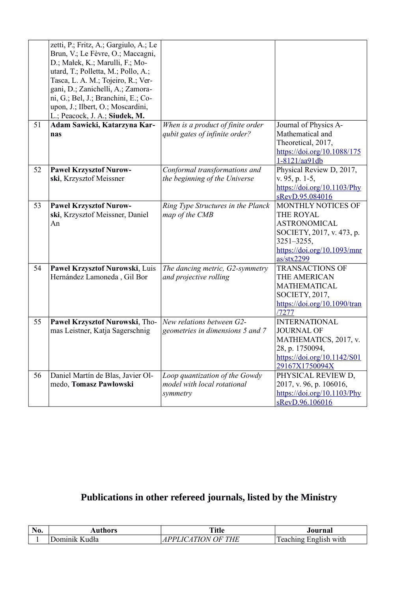|    | zetti, P.; Fritz, A.; Gargiulo, A.; Le<br>Brun, V.; Le Fèvre, O.; Maccagni,<br>D.; Małek, K.; Marulli, F.; Mo-<br>utard, T.; Polletta, M.; Pollo, A.;<br>Tasca, L. A. M.; Tojeiro, R.; Ver-<br>gani, D.; Zanichelli, A.; Zamora-<br>ni, G.; Bel, J.; Branchini, E.; Co-<br>upon, J.; Ilbert, O.; Moscardini,<br>L.; Peacock, J. A.; Siudek, M. |                                                                           |                                                                                                                                                                                               |
|----|------------------------------------------------------------------------------------------------------------------------------------------------------------------------------------------------------------------------------------------------------------------------------------------------------------------------------------------------|---------------------------------------------------------------------------|-----------------------------------------------------------------------------------------------------------------------------------------------------------------------------------------------|
| 51 | Adam Sawicki, Katarzyna Kar-<br>nas                                                                                                                                                                                                                                                                                                            | When is a product of finite order<br>qubit gates of infinite order?       | Journal of Physics A-<br>Mathematical and<br>Theoretical, 2017,<br>https://doi.org/10.1088/175<br>1-8121/aa91db                                                                               |
| 52 | <b>Pawel Krzysztof Nurow-</b><br>ski, Krzysztof Meissner                                                                                                                                                                                                                                                                                       | Conformal transformations and<br>the beginning of the Universe            | Physical Review D, 2017,<br>v. 95, p. 1-5,<br>https://doi.org/10.1103/Phy<br>sRevD.95.084016                                                                                                  |
| 53 | <b>Pawel Krzysztof Nurow-</b><br>ski, Krzysztof Meissner, Daniel<br>An                                                                                                                                                                                                                                                                         | Ring Type Structures in the Planck<br>map of the CMB                      | MONTHLY NOTICES OF<br><b>THE ROYAL</b><br><b>ASTRONOMICAL</b><br>SOCIETY, 2017, v. 473, p.<br>$3251 - 3255,$<br>$\frac{https://doi.org/10.1093/mm}{https://doi.org/10.1093/mm}$<br>as/stx2299 |
| 54 | Paweł Krzysztof Nurowski, Luis<br>Hernández Lamoneda, Gil Bor                                                                                                                                                                                                                                                                                  | The dancing metric, G2-symmetry<br>and projective rolling                 | <b>TRANSACTIONS OF</b><br>THE AMERICAN<br><b>MATHEMATICAL</b><br>SOCIETY, 2017,<br>$\frac{https://doi.org/10.1090/tran}{https://doi.org/10.1090/tran}$<br>/7277                               |
| 55 | Paweł Krzysztof Nurowski, Tho-<br>mas Leistner, Katja Sagerschnig                                                                                                                                                                                                                                                                              | New relations between G2-<br>geometries in dimensions 5 and 7             | <b>INTERNATIONAL</b><br><b>JOURNAL OF</b><br>MATHEMATICS, 2017, v.<br>28, p. 1750094,<br>https://doi.org/10.1142/S01<br>29167X1750094X                                                        |
| 56 | Daniel Martín de Blas, Javier Ol-<br>medo, Tomasz Pawłowski                                                                                                                                                                                                                                                                                    | Loop quantization of the Gowdy<br>model with local rotational<br>symmetry | PHYSICAL REVIEW D,<br>2017, v. 96, p. 106016,<br>$\frac{https://doi.org/10.1103/Phy}{https://doi.org/10.1103/Phy}$<br>sRevD.96.106016                                                         |

## **Publications in other refereed journals, listed by the Ministry**

| <b>B</b> T<br>11 U. | $- - - -$ | me a<br>`- 4<br>ш          | 01111222                                 |
|---------------------|-----------|----------------------------|------------------------------------------|
|                     |           | T<br>$\mathbf{v}$<br><br>- | ഛ<br>--- -<br>---<br>with<br>'noli<br>-- |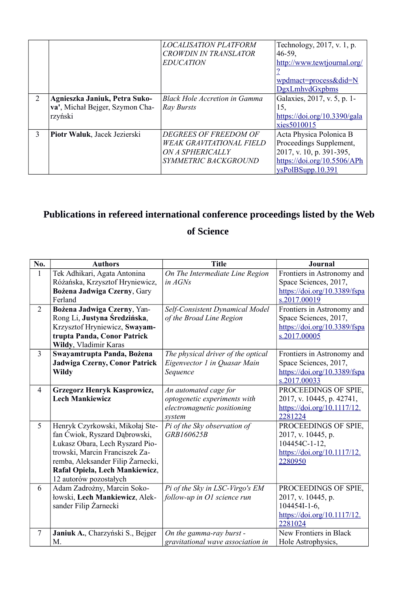|   |                                 | <i>LOCALISATION PLATFORM</i>    | Technology, 2017, v. 1, p.   |
|---|---------------------------------|---------------------------------|------------------------------|
|   |                                 | <b>CROWDIN IN TRANSLATOR</b>    | $46-59$ ,                    |
|   |                                 | <i>EDUCATION</i>                | http://www.tewtjournal.org/  |
|   |                                 |                                 |                              |
|   |                                 |                                 | wpdmact=process&did=N        |
|   |                                 |                                 | <b>DgxLmhvdGxpbms</b>        |
| 2 | Agnieszka Janiuk, Petra Suko-   | Black Hole Accretion in Gamma   | Galaxies, 2017, v. 5, p. 1-  |
|   | va', Michał Bejger, Szymon Cha- | Ray Bursts                      | 15,                          |
|   | rzyński                         |                                 | https://doi.org/10.3390/gala |
|   |                                 |                                 | xies5010015                  |
| 3 | Piotr Waluk, Jacek Jezierski    | DEGREES OF FREEDOM OF           | Acta Physica Polonica B      |
|   |                                 | <b>WEAK GRAVITATIONAL FIELD</b> | Proceedings Supplement,      |
|   |                                 | <i>ON A SPHERICALLY</i>         | 2017, v. 10, p. 391-395,     |
|   |                                 | SYMMETRIC BACKGROUND            | https://doi.org/10.5506/APh  |
|   |                                 |                                 | ysPolBSupp.10.391            |

# **Publications in refereed international conference proceedings listed by the Web**

## **of Science**

| No.            | <b>Authors</b>                    | <b>Title</b>                       | <b>Journal</b>               |
|----------------|-----------------------------------|------------------------------------|------------------------------|
| $\mathbf{1}$   | Tek Adhikari, Agata Antonina      | On The Intermediate Line Region    | Frontiers in Astronomy and   |
|                | Różańska, Krzysztof Hryniewicz,   | in $AGNs$                          | Space Sciences, 2017,        |
|                | Bożena Jadwiga Czerny, Gary       |                                    | https://doi.org/10.3389/fspa |
|                | Ferland                           |                                    | s.2017.00019                 |
| $\overline{2}$ | Bożena Jadwiga Czerny, Yan-       | Self-Consistent Dynamical Model    | Frontiers in Astronomy and   |
|                | Rong Li, Justyna Średzińska,      | of the Broad Line Region           | Space Sciences, 2017,        |
|                | Krzysztof Hryniewicz, Swayam-     |                                    | https://doi.org/10.3389/fspa |
|                | trupta Panda, Conor Patrick       |                                    | s.2017.00005                 |
|                | Wildy, Vladimir Karas             |                                    |                              |
| $\overline{3}$ | Swayamtrupta Panda, Bożena        | The physical driver of the optical | Frontiers in Astronomy and   |
|                | Jadwiga Czerny, Conor Patrick     | Eigenvector 1 in Quasar Main       | Space Sciences, 2017,        |
|                | <b>Wildy</b>                      | Sequence                           | https://doi.org/10.3389/fspa |
|                |                                   |                                    | s.2017.00033                 |
| $\overline{4}$ | Grzegorz Henryk Kasprowicz,       | An automated cage for              | PROCEEDINGS OF SPIE,         |
|                | <b>Lech Mankiewicz</b>            | optogenetic experiments with       | 2017, v. 10445, p. 42741,    |
|                |                                   | electromagnetic positioning        | https://doi.org/10.1117/12.  |
|                |                                   | system                             | 2281224                      |
| 5              | Henryk Czyrkowski, Mikołaj Ste-   | Pi of the Sky observation of       | PROCEEDINGS OF SPIE,         |
|                | fan Ćwiok, Ryszard Dąbrowski,     | GRB160625B                         | 2017, v. 10445, p.           |
|                | Łukasz Obara, Lech Ryszard Pio-   |                                    | 104454C-1-12,                |
|                | trowski, Marcin Franciszek Za-    |                                    | https://doi.org/10.1117/12.  |
|                | remba, Aleksander Filip Żarnecki, |                                    | 2280950                      |
|                | Rafał Opiela, Lech Mankiewicz,    |                                    |                              |
|                | 12 autorów pozostałych            |                                    |                              |
| 6              | Adam Zadrożny, Marcin Soko-       | Pi of the Sky in LSC-Virgo's EM    | PROCEEDINGS OF SPIE,         |
|                | łowski, Lech Mankiewicz, Alek-    | follow-up in O1 science run        | 2017, v. 10445, p.           |
|                | sander Filip Żarnecki             |                                    | $104454I-1-6$ ,              |
|                |                                   |                                    | https://doi.org/10.1117/12.  |
|                |                                   |                                    | 2281024                      |
| $\tau$         | Janiuk A., Charzyński S., Bejger  | On the gamma-ray burst -           | New Frontiers in Black       |
|                | M.                                | gravitational wave association in  | Hole Astrophysics,           |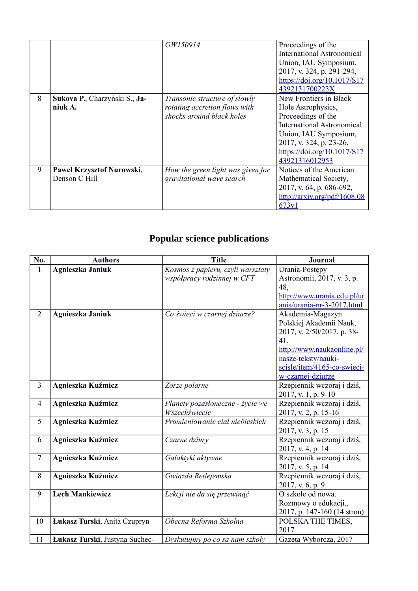|   |                                            | GW150914                                                                                    | Proceedings of the<br><b>International Astronomical</b><br>Union, IAU Symposium,<br>2017, v. 324, p. 291-294,<br>https://doi.org/10.1017/S17<br>4392131700223X                                        |
|---|--------------------------------------------|---------------------------------------------------------------------------------------------|-------------------------------------------------------------------------------------------------------------------------------------------------------------------------------------------------------|
| 8 | Sukova P., Charzyński S., Ja-<br>niuk A.   | Transonic structure of slowly<br>rotating accretion flows with<br>shocks around black holes | New Frontiers in Black<br>Hole Astrophysics,<br>Proceedings of the<br>International Astronomical<br>Union, IAU Symposium,<br>2017, v. 324, p. 23-26,<br>https://doi.org/10.1017/S17<br>43921316012953 |
| 9 | Paweł Krzysztof Nurowski,<br>Denson C Hill | How the green light was given for<br>gravitational wave search                              | Notices of the American<br>Mathematical Society,<br>2017, v. 64, p. 686-692,<br>http://arxiv.org/pdf/1608.08<br>673v1                                                                                 |

# **Popular science publications**

| No.            | <b>Authors</b>                 | <b>Title</b>                      | <b>Journal</b>              |
|----------------|--------------------------------|-----------------------------------|-----------------------------|
| 1              | <b>Agnieszka Janiuk</b>        | Kosmos z papieru, czyli warsztaty | Urania-Postępy              |
|                |                                | współpracy rodzinnej w CFT        | Astronomii, 2017, v. 3, p.  |
|                |                                |                                   | 48,                         |
|                |                                |                                   | http://www.urania.edu.pl/ur |
|                |                                |                                   | ania/urania-nr-3-2017.html  |
| $\overline{2}$ | Agnieszka Janiuk               | Co świeci w czarnej dziurze?      | Akademia-Magazyn            |
|                |                                |                                   | Polskiej Akademii Nauk,     |
|                |                                |                                   | 2017, v. 2/50/2017, p. 38-  |
|                |                                |                                   | 41,                         |
|                |                                |                                   | http://www.naukaonline.pl/  |
|                |                                |                                   | nasze-teksty/nauki-         |
|                |                                |                                   | scisle/item/4165-co-swieci- |
|                |                                |                                   | w-czarnej-dziurze           |
| $\overline{3}$ | Agnieszka Kuźmicz              | Zorze polarne                     | Rzepiennik wczoraj i dziś,  |
|                |                                |                                   | 2017, v. 1, p. 9-10         |
| $\overline{4}$ | Agnieszka Kuźmicz              | Planety pozasłoneczne - życie we  | Rzepiennik wczoraj i dziś,  |
|                |                                | Wszechświecie                     | 2017, v. 2, p. 15-16        |
| 5              | Agnieszka Kuźmicz              | Promieniowanie ciał niebieskich   | Rzepiennik wczoraj i dziś,  |
|                |                                |                                   | 2017, v. 3, p. 15           |
| 6              | Agnieszka Kuźmicz              | Czarne dziury                     | Rzepiennik wczoraj i dziś,  |
|                |                                |                                   | 2017, v. 4, p. 14           |
| $\tau$         | Agnieszka Kuźmicz              | Galaktyki aktywne                 | Rzepiennik wczoraj i dziś,  |
|                |                                |                                   | 2017, v. 5, p. 14           |
| 8              | Agnieszka Kuźmicz              | Gwiazda Betlejemska               | Rzepiennik wczoraj i dziś,  |
|                |                                |                                   | 2017, v. 6, p. 9            |
| 9              | <b>Lech Mankiewicz</b>         | Lekcji nie da się przewinąć       | O szkole od nowa.           |
|                |                                |                                   | Rozmowy o edukacji.,        |
|                |                                |                                   | 2017, p. 147-160 (14 stron) |
| 10             | Łukasz Turski, Anita Czupryn   | Obecna Reforma Szkolna            | POLSKA THE TIMES,           |
|                |                                |                                   | 2017                        |
| 11             | Łukasz Turski, Justyna Suchec- | Dyskutujmy po co sa nam szkoły    | Gazeta Wyborcza, 2017       |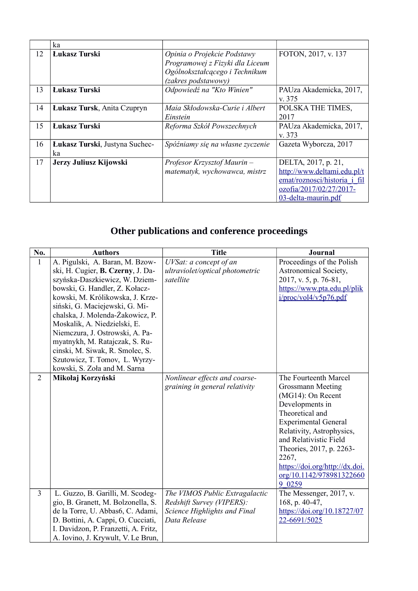|    | ka                                   |                                                                                                                         |                                                                                                                                      |
|----|--------------------------------------|-------------------------------------------------------------------------------------------------------------------------|--------------------------------------------------------------------------------------------------------------------------------------|
| 12 | Łukasz Turski                        | Opinia o Projekcie Podstawy<br>Programowej z Fizyki dla Liceum<br>Ogólnokształcącego i Technikum<br>(zakres podstawowy) | FOTON, 2017, v. 137                                                                                                                  |
| 13 | <b>Łukasz Turski</b>                 | Odpowiedź na "Kto Winien"                                                                                               | PAUza Akademicka, 2017,<br>v. 375                                                                                                    |
| 14 | <b>Łukasz Tursk, Anita Czupryn</b>   | Maia Skłodowska-Curie i Albert<br>Einstein                                                                              | POLSKA THE TIMES,<br>2017                                                                                                            |
| 15 | <b>Łukasz Turski</b>                 | Reforma Szkół Powszechnych                                                                                              | PAUza Akademicka, 2017,<br>v. 373                                                                                                    |
| 16 | Łukasz Turski, Justyna Suchec-<br>ka | Spóźniamy się na własne zyczenie                                                                                        | Gazeta Wyborcza, 2017                                                                                                                |
| 17 | Jerzy Juliusz Kijowski               | Profesor Krzysztof Maurin –<br>matematyk, wychowawca, mistrz                                                            | DELTA, 2017, p. 21,<br>http://www.deltami.edu.pl/t<br>emat/roznosci/historia i fil<br>ozofia/2017/02/27/2017-<br>03-delta-maurin.pdf |

# **Other publications and conference proceedings**

| No.            | <b>Authors</b>                       | <b>Title</b>                                                | <b>Journal</b>                     |
|----------------|--------------------------------------|-------------------------------------------------------------|------------------------------------|
| $\mathbf{1}$   | A. Pigulski, A. Baran, M. Bzow-      | UVSat: a concept of an                                      | Proceedings of the Polish          |
|                | ski, H. Cugier, B. Czerny, J. Da-    | ultraviolet/optical photometric                             | Astronomical Society,              |
|                | szyńska-Daszkiewicz, W. Dziem-       | satellite                                                   | 2017, v. 5, p. 76-81,              |
|                | bowski, G. Handler, Z. Kołacz-       |                                                             | https://www.pta.edu.pl/plik        |
|                | kowski, M. Królikowska, J. Krze-     |                                                             | i/proc/vol4/v5p76.pdf              |
|                | siński, G. Maciejewski, G. Mi-       |                                                             |                                    |
|                | chalska, J. Molenda-Żakowicz, P.     |                                                             |                                    |
|                | Moskalik, A. Niedzielski, E.         |                                                             |                                    |
|                | Niemczura, J. Ostrowski, A. Pa-      |                                                             |                                    |
|                | myatnykh, M. Ratajczak, S. Ru-       |                                                             |                                    |
|                | cinski, M. Siwak, R. Smolec, S.      |                                                             |                                    |
|                | Szutowicz, T. Tomov, L. Wyrzy-       |                                                             |                                    |
|                | kowski, S. Zoła and M. Sarna         |                                                             |                                    |
| $\overline{2}$ | Mikołaj Korzyński                    | Nonlinear effects and coarse-                               | The Fourteenth Marcel              |
|                |                                      | graining in general relativity                              | <b>Grossmann Meeting</b>           |
|                |                                      |                                                             | (MG14): On Recent                  |
|                |                                      |                                                             | Developments in                    |
|                |                                      |                                                             | Theoretical and                    |
|                |                                      |                                                             | <b>Experimental General</b>        |
|                |                                      |                                                             | Relativity, Astrophysics,          |
|                |                                      |                                                             | and Relativistic Field             |
|                |                                      |                                                             | Theories, 2017, p. 2263-           |
|                |                                      |                                                             | 2267,                              |
|                |                                      |                                                             | https://doi.org/http://dx.doi.     |
|                |                                      |                                                             | org/10.1142/978981322660<br>9 0259 |
| $\overline{3}$ | L. Guzzo, B. Garilli, M. Scodeg-     |                                                             | The Messenger, 2017, v.            |
|                | gio, B. Granett, M. Bolzonella, S.   | The VIMOS Public Extragalactic<br>Redshift Survey (VIPERS): | 168, p. 40-47,                     |
|                | de la Torre, U. Abbas6, C. Adami,    | Science Highlights and Final                                | https://doi.org/10.18727/07        |
|                | D. Bottini, A. Cappi, O. Cucciati,   | Data Release                                                | 22-6691/5025                       |
|                | I. Davidzon, P. Franzetti, A. Fritz, |                                                             |                                    |
|                | A. Iovino, J. Krywult, V. Le Brun,   |                                                             |                                    |